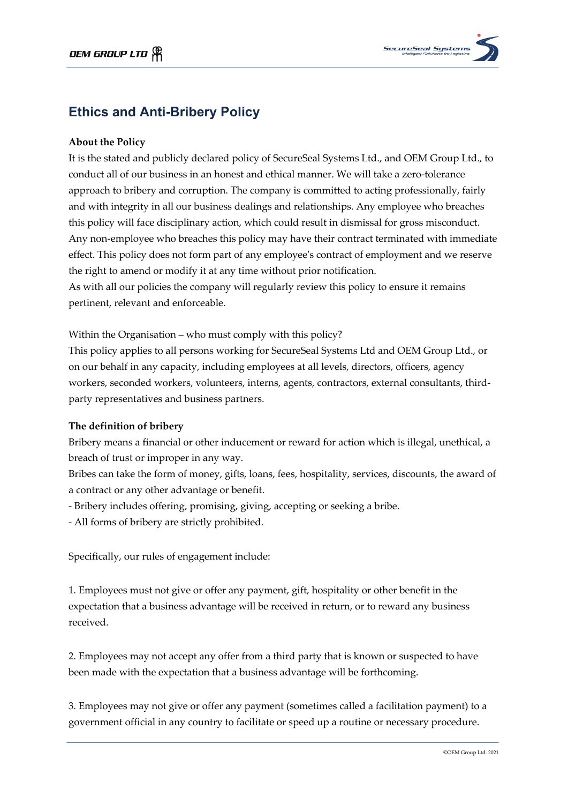

# **Ethics and Anti-Bribery Policy**

## **About the Policy**

It is the stated and publicly declared policy of SecureSeal Systems Ltd., and OEM Group Ltd., to conduct all of our business in an honest and ethical manner. We will take a zero-tolerance approach to bribery and corruption. The company is committed to acting professionally, fairly and with integrity in all our business dealings and relationships. Any employee who breaches this policy will face disciplinary action, which could result in dismissal for gross misconduct. Any non-employee who breaches this policy may have their contract terminated with immediate effect. This policy does not form part of any employee's contract of employment and we reserve the right to amend or modify it at any time without prior notification.

As with all our policies the company will regularly review this policy to ensure it remains pertinent, relevant and enforceable.

Within the Organisation – who must comply with this policy?

This policy applies to all persons working for SecureSeal Systems Ltd and OEM Group Ltd., or on our behalf in any capacity, including employees at all levels, directors, officers, agency workers, seconded workers, volunteers, interns, agents, contractors, external consultants, thirdparty representatives and business partners.

### **The definition of bribery**

Bribery means a financial or other inducement or reward for action which is illegal, unethical, a breach of trust or improper in any way.

Bribes can take the form of money, gifts, loans, fees, hospitality, services, discounts, the award of a contract or any other advantage or benefit.

- Bribery includes offering, promising, giving, accepting or seeking a bribe.
- All forms of bribery are strictly prohibited.

Specifically, our rules of engagement include:

1. Employees must not give or offer any payment, gift, hospitality or other benefit in the expectation that a business advantage will be received in return, or to reward any business received.

2. Employees may not accept any offer from a third party that is known or suspected to have been made with the expectation that a business advantage will be forthcoming.

3. Employees may not give or offer any payment (sometimes called a facilitation payment) to a government official in any country to facilitate or speed up a routine or necessary procedure.